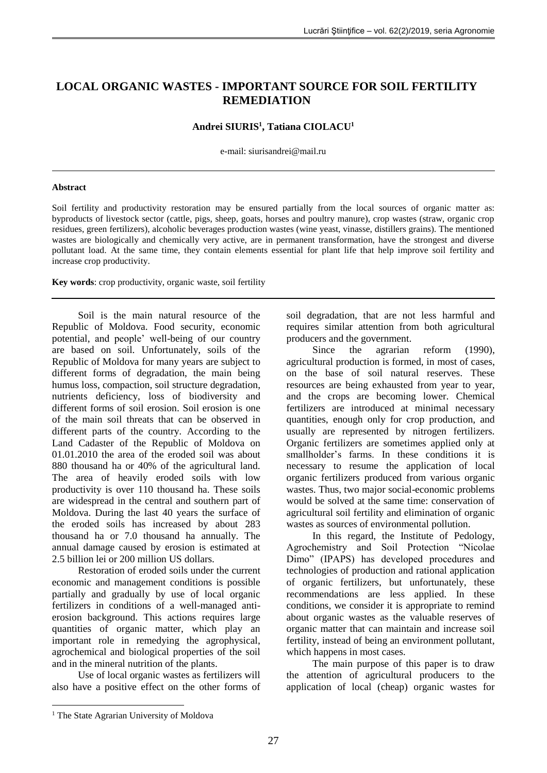# **LOCAL ORGANIC WASTES - IMPORTANT SOURCE FOR SOIL FERTILITY REMEDIATION**

# **Andrei SIURIS<sup>1</sup> , Tatiana CIOLACU<sup>1</sup>**

e-mail: siurisandrei@mail.ru

#### **Abstract**

Soil fertility and productivity restoration may be ensured partially from the local sources of organic matter as: byproducts of livestock sector (cattle, pigs, sheep, goats, horses and poultry manure), crop wastes (straw, organic crop residues, green fertilizers), alcoholic beverages production wastes (wine yeast, vinasse, distillers grains). The mentioned wastes are biologically and chemically very active, are in permanent transformation, have the strongest and diverse pollutant load. At the same time, they contain elements essential for plant life that help improve soil fertility and increase crop productivity.

**Key words**: crop productivity, organic waste, soil fertility

Soil is the main natural resource of the Republic of Moldova. Food security, economic potential, and people' well-being of our country are based on soil. Unfortunately, soils of the Republic of Moldova for many years are subject to different forms of degradation, the main being humus loss, compaction, soil structure degradation, nutrients deficiency, loss of biodiversity and different forms of soil erosion. Soil erosion is one of the main soil threats that can be observed in different parts of the country. According to the Land Cadaster of the Republic of Moldova on 01.01.2010 the area of the eroded soil was about 880 thousand ha or 40% of the agricultural land. The area of heavily eroded soils with low productivity is over 110 thousand ha. These soils are widespread in the central and southern part of Moldova. During the last 40 years the surface of the eroded soils has increased by about 283 thousand ha or 7.0 thousand ha annually. The annual damage caused by erosion is estimated at 2.5 billion lei or 200 million US dollars.

Restoration of eroded soils under the current economic and management conditions is possible partially and gradually by use of local organic fertilizers in conditions of a well-managed antierosion background. This actions requires large quantities of organic matter, which play an important role in remedying the agrophysical, agrochemical and biological properties of the soil and in the mineral nutrition of the plants.

Use of local organic wastes as fertilizers will also have a positive effect on the other forms of soil degradation, that are not less harmful and requires similar attention from both agricultural producers and the government.

Since the agrarian reform (1990), agricultural production is formed, in most of cases, on the base of soil natural reserves. These resources are being exhausted from year to year, and the crops are becoming lower. Chemical fertilizers are introduced at minimal necessary quantities, enough only for crop production, and usually are represented by nitrogen fertilizers. Organic fertilizers are sometimes applied only at smallholder's farms. In these conditions it is necessary to resume the application of local organic fertilizers produced from various organic wastes. Thus, two major social-economic problems would be solved at the same time: conservation of agricultural soil fertility and elimination of organic wastes as sources of environmental pollution.

In this regard, the Institute of Pedology, Agrochemistry and Soil Protection "Nicolae Dimo" (IPAPS) has developed procedures and technologies of production and rational application of organic fertilizers, but unfortunately, these recommendations are less applied. In these conditions, we consider it is appropriate to remind about organic wastes as the valuable reserves of organic matter that can maintain and increase soil fertility, instead of being an environment pollutant, which happens in most cases.

The main purpose of this paper is to draw the attention of agricultural producers to the application of local (cheap) organic wastes for

1

<sup>&</sup>lt;sup>1</sup> The State Agrarian University of Moldova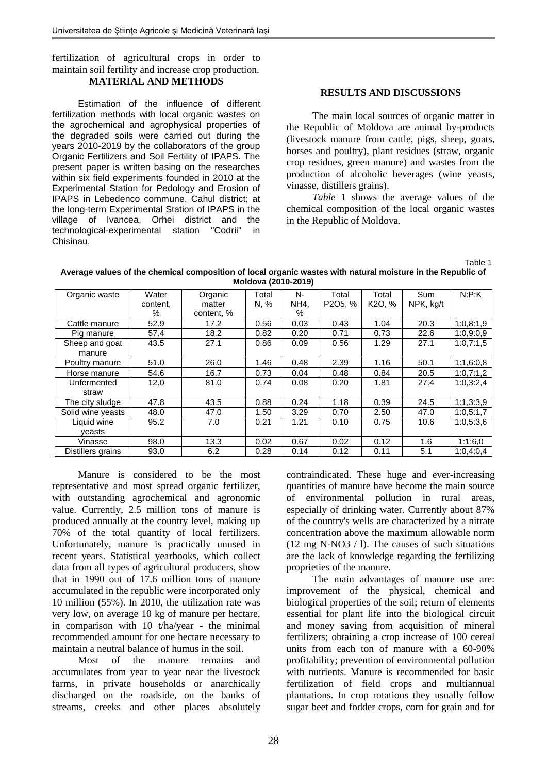fertilization of agricultural crops in order to maintain soil fertility and increase crop production. **MATERIAL AND METHODS**

Estimation of the influence of different fertilization methods with local organic wastes on the agrochemical and agrophysical properties of the degraded soils were carried out during the years 2010-2019 by the collaborators of the group Organic Fertilizers and Soil Fertility of IPAPS. The present paper is written basing on the researches within six field experiments founded in 2010 at the Experimental Station for Pedology and Erosion of IPAPS in Lebedenco commune, Cahul district; at the long-term Experimental Station of IPAPS in the village of Ivancea, Orhei district and the technological-experimental station "Codrii" in Chisinau.

#### **RESULTS AND DISCUSSIONS**

The main local sources of organic matter in the Republic of Moldova are animal by-products (livestock manure from cattle, pigs, sheep, goats, horses and poultry), plant residues (straw, organic crop residues, green manure) and wastes from the production of alcoholic beverages (wine yeasts, vinasse, distillers grains).

*Table* 1 shows the average values of the chemical composition of the local organic wastes in the Republic of Moldova.

Table 1

**Average values of the chemical composition of local organic wastes with natural moisture in the Republic of Moldova (2010-2019)**

| $1.1.01$ $1.01$ $1.01$ $1.01$ $1.01$ |          |            |       |      |         |                     |            |           |
|--------------------------------------|----------|------------|-------|------|---------|---------------------|------------|-----------|
| Organic waste                        | Water    | Organic    | Total | N-   | Total   | Total               | <b>Sum</b> | N: P: K   |
|                                      | content, | matter     | N, %  | NH4, | P2O5, % | K <sub>2</sub> O, % | NPK, kg/t  |           |
|                                      | ℅        | content, % |       | ℅    |         |                     |            |           |
| Cattle manure                        | 52.9     | 17.2       | 0.56  | 0.03 | 0.43    | 1.04                | 20.3       | 1:0,8:1,9 |
| Pig manure                           | 57.4     | 18.2       | 0.82  | 0.20 | 0.71    | 0.73                | 22.6       | 1:0.9:0.9 |
| Sheep and goat                       | 43.5     | 27.1       | 0.86  | 0.09 | 0.56    | 1.29                | 27.1       | 1:0,7:1,5 |
| manure                               |          |            |       |      |         |                     |            |           |
| Poultry manure                       | 51.0     | 26.0       | 1.46  | 0.48 | 2.39    | 1.16                | 50.1       | 1:1,6:0,8 |
| Horse manure                         | 54.6     | 16.7       | 0.73  | 0.04 | 0.48    | 0.84                | 20.5       | 1:0,7:1,2 |
| Unfermented                          | 12.0     | 81.0       | 0.74  | 0.08 | 0.20    | 1.81                | 27.4       | 1:0,3:2,4 |
| straw                                |          |            |       |      |         |                     |            |           |
| The city sludge                      | 47.8     | 43.5       | 0.88  | 0.24 | 1.18    | 0.39                | 24.5       | 1:1,3:3,9 |
| Solid wine yeasts                    | 48.0     | 47.0       | 1.50  | 3.29 | 0.70    | 2.50                | 47.0       | 1:0,5:1,7 |
| Liquid wine                          | 95.2     | 7.0        | 0.21  | 1.21 | 0.10    | 0.75                | 10.6       | 1:0,5:3,6 |
| veasts                               |          |            |       |      |         |                     |            |           |
| Vinasse                              | 98.0     | 13.3       | 0.02  | 0.67 | 0.02    | 0.12                | 1.6        | 1:1:6.0   |
| Distillers grains                    | 93.0     | 6.2        | 0.28  | 0.14 | 0.12    | 0.11                | 5.1        | 1:0,4:0,4 |

Manure is considered to be the most representative and most spread organic fertilizer, with outstanding agrochemical and agronomic value. Currently, 2.5 million tons of manure is produced annually at the country level, making up 70% of the total quantity of local fertilizers. Unfortunately, manure is practically unused in recent years. Statistical yearbooks, which collect data from all types of agricultural producers, show that in 1990 out of 17.6 million tons of manure accumulated in the republic were incorporated only 10 million (55%). In 2010, the utilization rate was very low, on average 10 kg of manure per hectare, in comparison with 10 t/ha/year - the minimal recommended amount for one hectare necessary to maintain a neutral balance of humus in the soil.

Most of the manure remains and accumulates from year to year near the livestock farms, in private households or anarchically discharged on the roadside, on the banks of streams, creeks and other places absolutely contraindicated. These huge and ever-increasing quantities of manure have become the main source of environmental pollution in rural areas, especially of drinking water. Currently about 87% of the country's wells are characterized by a nitrate concentration above the maximum allowable norm (12 mg N-NO3 / l). The causes of such situations are the lack of knowledge regarding the fertilizing proprieties of the manure.

The main advantages of manure use are: improvement of the physical, chemical and biological properties of the soil; return of elements essential for plant life into the biological circuit and money saving from acquisition of mineral fertilizers; obtaining a crop increase of 100 cereal units from each ton of manure with a 60-90% profitability; prevention of environmental pollution with nutrients. Manure is recommended for basic fertilization of field crops and multiannual plantations. In crop rotations they usually follow sugar beet and fodder crops, corn for grain and for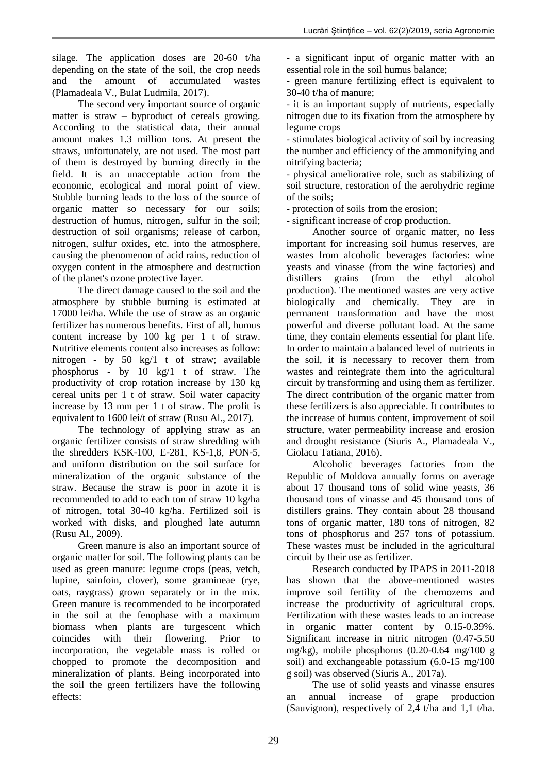silage. The application doses are 20-60 t/ha depending on the state of the soil, the crop needs and the amount of accumulated wastes (Plamadeala V., Bulat Ludmila, 2017).

The second very important source of organic matter is straw – byproduct of cereals growing. According to the statistical data, their annual amount makes 1.3 million tons. At present the straws, unfortunately, are not used. The most part of them is destroyed by burning directly in the field. It is an unacceptable action from the economic, ecological and moral point of view. Stubble burning leads to the loss of the source of organic matter so necessary for our soils; destruction of humus, nitrogen, sulfur in the soil; destruction of soil organisms; release of carbon, nitrogen, sulfur oxides, etc. into the atmosphere, causing the phenomenon of acid rains, reduction of oxygen content in the atmosphere and destruction of the planet's ozone protective layer.

The direct damage caused to the soil and the atmosphere by stubble burning is estimated at 17000 lei/ha. While the use of straw as an organic fertilizer has numerous benefits. First of all, humus content increase by 100 kg per 1 t of straw. Nutritive elements content also increases as follow: nitrogen - by 50 kg/1 t of straw; available phosphorus - by 10 kg/1 t of straw. The productivity of crop rotation increase by 130 kg cereal units per 1 t of straw. Soil water capacity increase by 13 mm per 1 t of straw. The profit is equivalent to 1600 lei/t of straw (Rusu Al., 2017).

The technology of applying straw as an organic fertilizer consists of straw shredding with the shredders KSK-100, E-281, KS-1,8, PON-5, and uniform distribution on the soil surface for mineralization of the organic substance of the straw. Because the straw is poor in azote it is recommended to add to each ton of straw 10 kg/ha of nitrogen, total 30-40 kg/ha. Fertilized soil is worked with disks, and ploughed late autumn (Rusu Al., 2009).

Green manure is also an important source of organic matter for soil. The following plants can be used as green manure: legume crops (peas, vetch, lupine, sainfoin, clover), some gramineae (rye, oats, raygrass) grown separately or in the mix. Green manure is recommended to be incorporated in the soil at the fenophase with a maximum biomass when plants are turgescent which coincides with their flowering. Prior to incorporation, the vegetable mass is rolled or chopped to promote the decomposition and mineralization of plants. Being incorporated into the soil the green fertilizers have the following effects:

- a significant input of organic matter with an essential role in the soil humus balance;

- green manure fertilizing effect is equivalent to 30-40 t/ha of manure;

- it is an important supply of nutrients, especially nitrogen due to its fixation from the atmosphere by legume crops

- stimulates biological activity of soil by increasing the number and efficiency of the ammonifying and nitrifying bacteria;

- physical ameliorative role, such as stabilizing of soil structure, restoration of the aerohydric regime of the soils;

- protection of soils from the erosion;

- significant increase of crop production.

Another source of organic matter, no less important for increasing soil humus reserves, are wastes from alcoholic beverages factories: wine yeasts and vinasse (from the wine factories) and distillers grains (from the ethyl alcohol production). The mentioned wastes are very active biologically and chemically. They are in permanent transformation and have the most powerful and diverse pollutant load. At the same time, they contain elements essential for plant life. In order to maintain a balanced level of nutrients in the soil, it is necessary to recover them from wastes and reintegrate them into the agricultural circuit by transforming and using them as fertilizer. The direct contribution of the organic matter from these fertilizers is also appreciable. It contributes to the increase of humus content, improvement of soil structure, water permeability increase and erosion and drought resistance (Siuris A., Plamadeala V., Ciolacu Tatiana, 2016).

Alcoholic beverages factories from the Republic of Moldova annually forms on average about 17 thousand tons of solid wine yeasts, 36 thousand tons of vinasse and 45 thousand tons of distillers grains. They contain about 28 thousand tons of organic matter, 180 tons of nitrogen, 82 tons of phosphorus and 257 tons of potassium. These wastes must be included in the agricultural circuit by their use as fertilizer.

Research conducted by IPAPS in 2011-2018 has shown that the above-mentioned wastes improve soil fertility of the chernozems and increase the productivity of agricultural crops. Fertilization with these wastes leads to an increase in organic matter content by 0.15-0.39%. Significant increase in nitric nitrogen (0.47-5.50 mg/kg), mobile phosphorus (0.20-0.64 mg/100 g soil) and exchangeable potassium (6.0-15 mg/100 g soil) was observed (Siuris A., 2017a).

The use of solid yeasts and vinasse ensures an annual increase of grape production (Sauvignon), respectively of 2,4 t/ha and 1,1 t/ha.